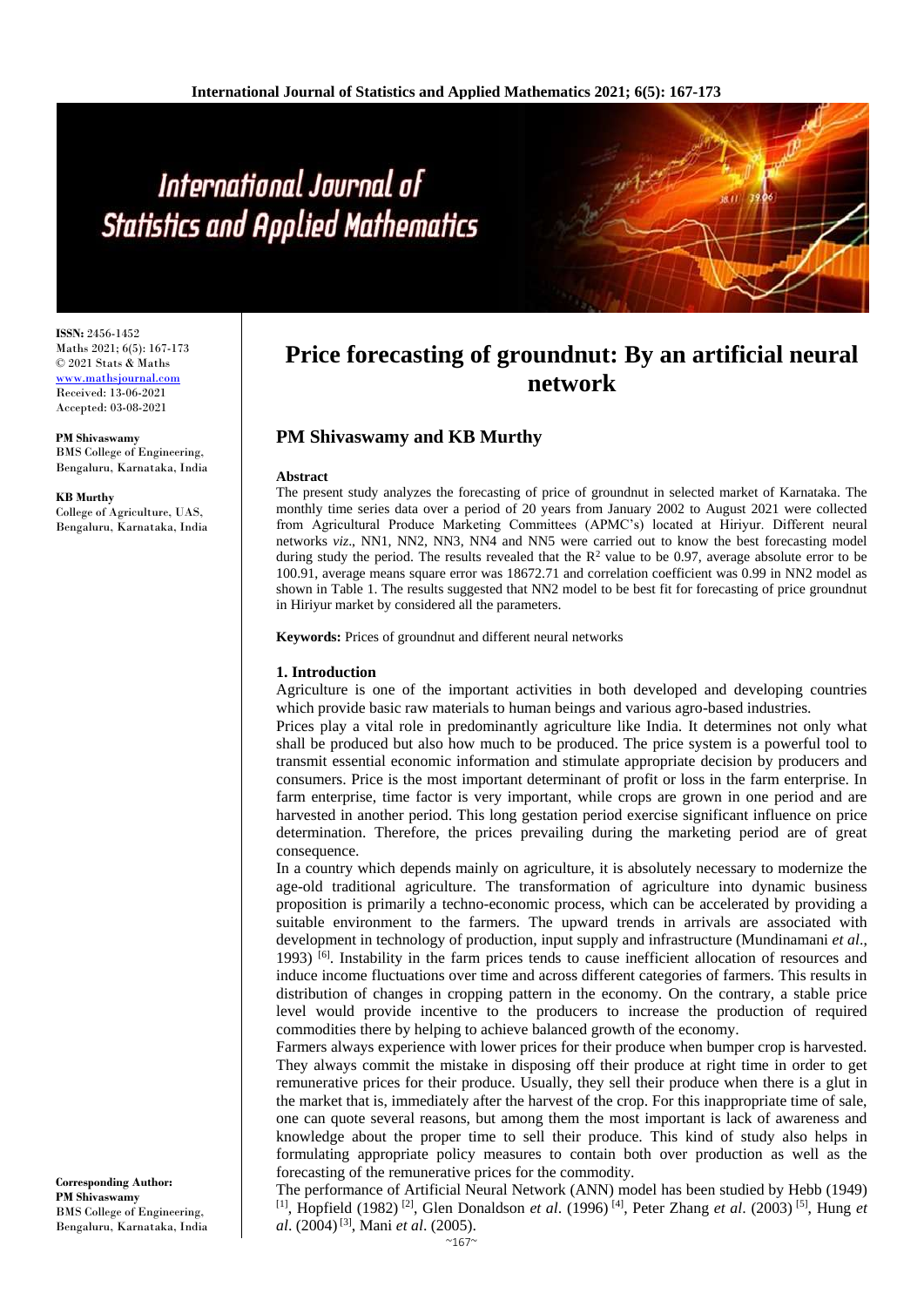# International Journal of **Statistics and Applied Mathematics**

**ISSN:** 2456-1452 Maths 2021; 6(5): 167-173 © 2021 Stats & Maths <www.mathsjournal.com> Received: 13-06-2021 Accepted: 03-08-2021

**PM Shivaswamy** BMS College of Engineering, Bengaluru, Karnataka, India

# **KB Murthy**

College of Agriculture, UAS, Bengaluru, Karnataka, India

# **Price forecasting of groundnut: By an artificial neural network**

# **PM Shivaswamy and KB Murthy**

#### **Abstract**

The present study analyzes the forecasting of price of groundnut in selected market of Karnataka. The monthly time series data over a period of 20 years from January 2002 to August 2021 were collected from Agricultural Produce Marketing Committees (APMC's) located at Hiriyur. Different neural networks *viz*., NN1, NN2, NN3, NN4 and NN5 were carried out to know the best forecasting model during study the period. The results revealed that the  $R^2$  value to be 0.97, average absolute error to be 100.91, average means square error was 18672.71 and correlation coefficient was 0.99 in NN2 model as shown in Table 1. The results suggested that NN2 model to be best fit for forecasting of price groundnut in Hiriyur market by considered all the parameters.

**Keywords:** Prices of groundnut and different neural networks

# **1. Introduction**

Agriculture is one of the important activities in both developed and developing countries which provide basic raw materials to human beings and various agro-based industries.

Prices play a vital role in predominantly agriculture like India. It determines not only what shall be produced but also how much to be produced. The price system is a powerful tool to transmit essential economic information and stimulate appropriate decision by producers and consumers. Price is the most important determinant of profit or loss in the farm enterprise. In farm enterprise, time factor is very important, while crops are grown in one period and are harvested in another period. This long gestation period exercise significant influence on price determination. Therefore, the prices prevailing during the marketing period are of great consequence.

In a country which depends mainly on agriculture, it is absolutely necessary to modernize the age-old traditional agriculture. The transformation of agriculture into dynamic business proposition is primarily a techno-economic process, which can be accelerated by providing a suitable environment to the farmers. The upward trends in arrivals are associated with development in technology of production, input supply and infrastructure (Mundinamani *et al*., 1993) [6] . Instability in the farm prices tends to cause inefficient allocation of resources and induce income fluctuations over time and across different categories of farmers. This results in distribution of changes in cropping pattern in the economy. On the contrary, a stable price level would provide incentive to the producers to increase the production of required commodities there by helping to achieve balanced growth of the economy.

Farmers always experience with lower prices for their produce when bumper crop is harvested. They always commit the mistake in disposing off their produce at right time in order to get remunerative prices for their produce. Usually, they sell their produce when there is a glut in the market that is, immediately after the harvest of the crop. For this inappropriate time of sale, one can quote several reasons, but among them the most important is lack of awareness and knowledge about the proper time to sell their produce. This kind of study also helps in formulating appropriate policy measures to contain both over production as well as the forecasting of the remunerative prices for the commodity.

The performance of Artificial Neural Network (ANN) model has been studied by Hebb (1949) [1] , Hopfield (1982) [2] , Glen Donaldson *et al*. (1996) [4] , Peter Zhang *et al*. (2003) [5] , Hung *et al.* (2004)<sup>[3]</sup>, Mani *et al.* (2005).

**Corresponding Author: PM Shivaswamy** BMS College of Engineering, Bengaluru, Karnataka, India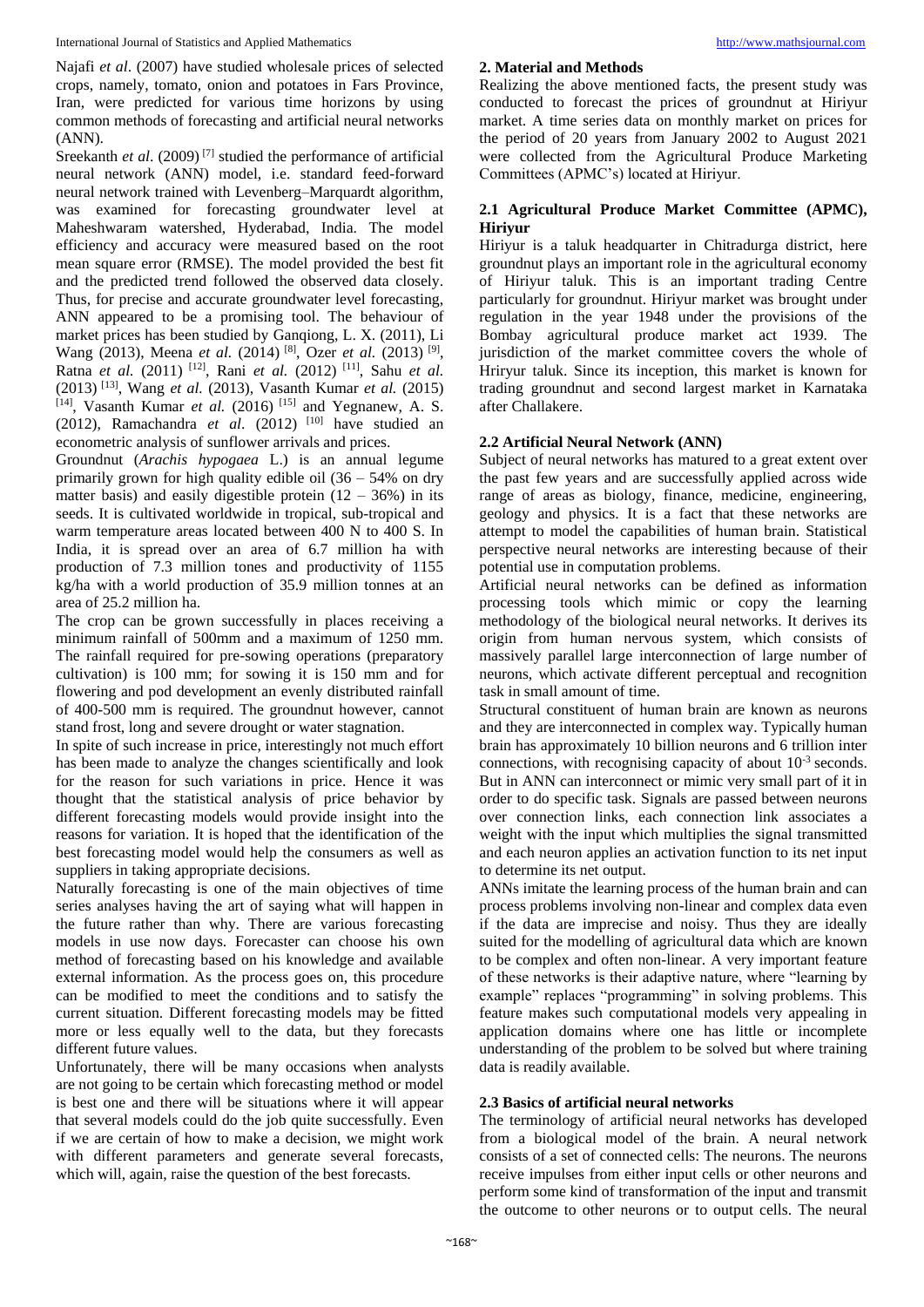International Journal of Statistics and Applied Mathematics [http://www.mathsjournal.com](http://www.mathsjournal.com/)

Najafi *et al*. (2007) have studied wholesale prices of selected crops, namely, tomato, onion and potatoes in Fars Province, Iran, were predicted for various time horizons by using common methods of forecasting and artificial neural networks (ANN).

Sreekanth *et al.* (2009)<sup>[7]</sup> studied the performance of artificial neural network (ANN) model, i.e. standard feed-forward neural network trained with Levenberg–Marquardt algorithm, was examined for forecasting groundwater level at Maheshwaram watershed, Hyderabad, India. The model efficiency and accuracy were measured based on the root mean square error (RMSE). The model provided the best fit and the predicted trend followed the observed data closely. Thus, for precise and accurate groundwater level forecasting, ANN appeared to be a promising tool. The behaviour of market prices has been studied by Ganqiong, L. X. (2011), Li Wang (2013), Meena *et al.* (2014)<sup>[8]</sup>, Ozer *et al.* (2013)<sup>[9]</sup>, Ratna *et al.* (2011) [12] , Rani *et al.* (2012) [11] , Sahu *et al.* (2013) [13] , Wang *et al.* (2013), Vasanth Kumar *et al.* (2015) [14], Vasanth Kumar *et al.* (2016)<sup>[15]</sup> and Yegnanew, A. S. (2012), Ramachandra *et al.* (2012) <sup>[10]</sup> have studied an econometric analysis of sunflower arrivals and prices.

Groundnut (*Arachis hypogaea* L.) is an annual legume primarily grown for high quality edible oil (36 – 54% on dry matter basis) and easily digestible protein  $(12 - 36%)$  in its seeds. It is cultivated worldwide in tropical, sub-tropical and warm temperature areas located between 400 N to 400 S. In India, it is spread over an area of 6.7 million ha with production of 7.3 million tones and productivity of 1155 kg/ha with a world production of 35.9 million tonnes at an area of 25.2 million ha.

The crop can be grown successfully in places receiving a minimum rainfall of 500mm and a maximum of 1250 mm. The rainfall required for pre-sowing operations (preparatory cultivation) is 100 mm; for sowing it is 150 mm and for flowering and pod development an evenly distributed rainfall of 400-500 mm is required. The groundnut however, cannot stand frost, long and severe drought or water stagnation.

In spite of such increase in price, interestingly not much effort has been made to analyze the changes scientifically and look for the reason for such variations in price. Hence it was thought that the statistical analysis of price behavior by different forecasting models would provide insight into the reasons for variation. It is hoped that the identification of the best forecasting model would help the consumers as well as suppliers in taking appropriate decisions.

Naturally forecasting is one of the main objectives of time series analyses having the art of saying what will happen in the future rather than why. There are various forecasting models in use now days. Forecaster can choose his own method of forecasting based on his knowledge and available external information. As the process goes on, this procedure can be modified to meet the conditions and to satisfy the current situation. Different forecasting models may be fitted more or less equally well to the data, but they forecasts different future values.

Unfortunately, there will be many occasions when analysts are not going to be certain which forecasting method or model is best one and there will be situations where it will appear that several models could do the job quite successfully. Even if we are certain of how to make a decision, we might work with different parameters and generate several forecasts, which will, again, raise the question of the best forecasts.

# **2. Material and Methods**

Realizing the above mentioned facts, the present study was conducted to forecast the prices of groundnut at Hiriyur market. A time series data on monthly market on prices for the period of 20 years from January 2002 to August 2021 were collected from the Agricultural Produce Marketing Committees (APMC's) located at Hiriyur.

# **2.1 Agricultural Produce Market Committee (APMC), Hiriyur**

Hiriyur is a taluk headquarter in Chitradurga district, here groundnut plays an important role in the agricultural economy of Hiriyur taluk. This is an important trading Centre particularly for groundnut. Hiriyur market was brought under regulation in the year 1948 under the provisions of the Bombay agricultural produce market act 1939. The jurisdiction of the market committee covers the whole of Hriryur taluk. Since its inception, this market is known for trading groundnut and second largest market in Karnataka after Challakere.

# **2.2 Artificial Neural Network (ANN)**

Subject of neural networks has matured to a great extent over the past few years and are successfully applied across wide range of areas as biology, finance, medicine, engineering, geology and physics. It is a fact that these networks are attempt to model the capabilities of human brain. Statistical perspective neural networks are interesting because of their potential use in computation problems.

Artificial neural networks can be defined as information processing tools which mimic or copy the learning methodology of the biological neural networks. It derives its origin from human nervous system, which consists of massively parallel large interconnection of large number of neurons, which activate different perceptual and recognition task in small amount of time.

Structural constituent of human brain are known as neurons and they are interconnected in complex way. Typically human brain has approximately 10 billion neurons and 6 trillion inter connections, with recognising capacity of about 10-3 seconds. But in ANN can interconnect or mimic very small part of it in order to do specific task. Signals are passed between neurons over connection links, each connection link associates a weight with the input which multiplies the signal transmitted and each neuron applies an activation function to its net input to determine its net output.

ANNs imitate the learning process of the human brain and can process problems involving non-linear and complex data even if the data are imprecise and noisy. Thus they are ideally suited for the modelling of agricultural data which are known to be complex and often non-linear. A very important feature of these networks is their adaptive nature, where "learning by example" replaces "programming" in solving problems. This feature makes such computational models very appealing in application domains where one has little or incomplete understanding of the problem to be solved but where training data is readily available.

# **2.3 Basics of artificial neural networks**

The terminology of artificial neural networks has developed from a biological model of the brain. A neural network consists of a set of connected cells: The neurons. The neurons receive impulses from either input cells or other neurons and perform some kind of transformation of the input and transmit the outcome to other neurons or to output cells. The neural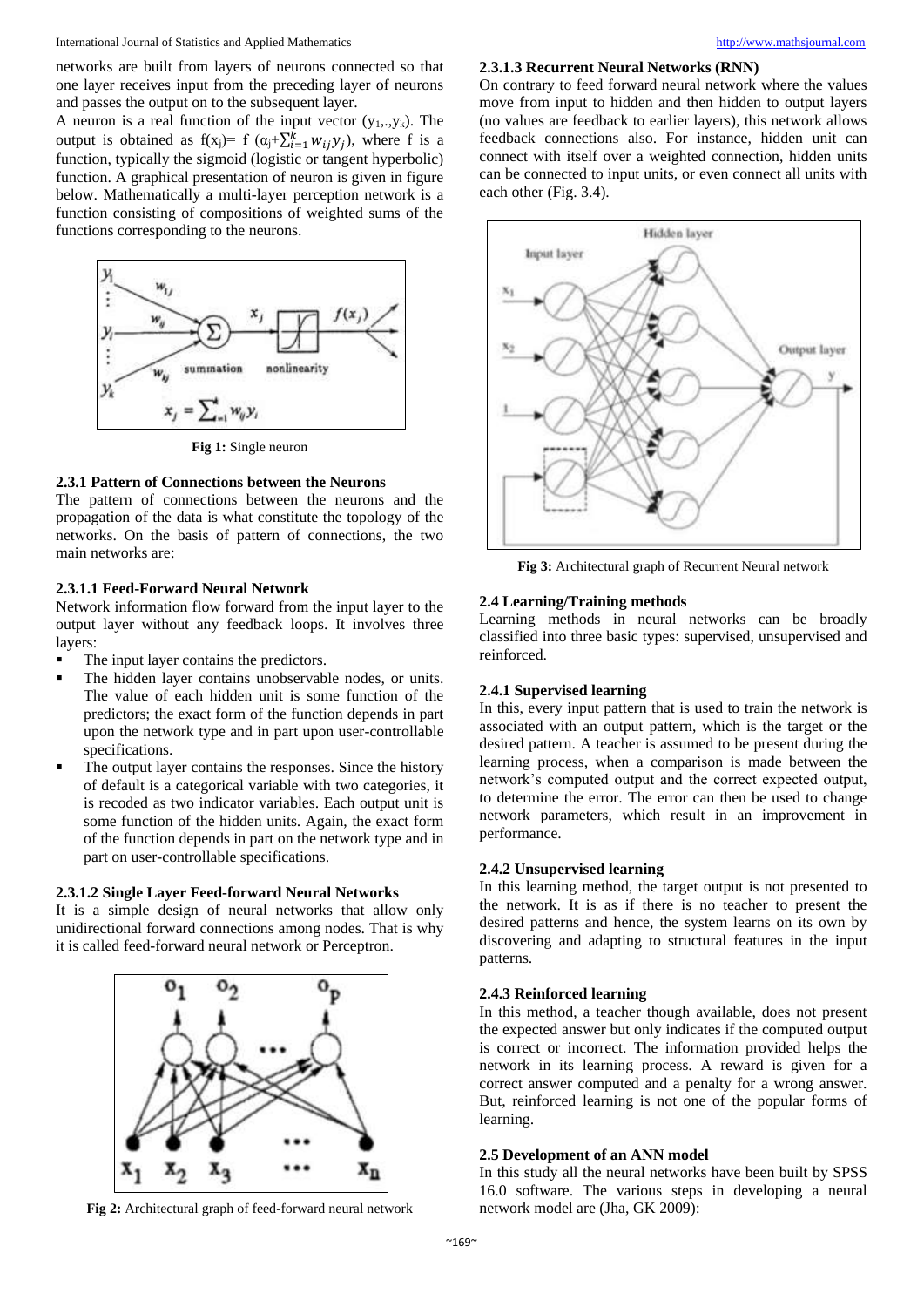networks are built from layers of neurons connected so that one layer receives input from the preceding layer of neurons and passes the output on to the subsequent layer.

A neuron is a real function of the input vector  $(y_1, y_k)$ . The output is obtained as  $f(x_j) = f(\alpha_j + \sum_{i=1}^k w_{ij} y_j)$ , where f is a function, typically the sigmoid (logistic or tangent hyperbolic) function. A graphical presentation of neuron is given in figure below. Mathematically a multi-layer perception network is a function consisting of compositions of weighted sums of the functions corresponding to the neurons.



**Fig 1:** Single neuron

# **2.3.1 Pattern of Connections between the Neurons**

The pattern of connections between the neurons and the propagation of the data is what constitute the topology of the networks. On the basis of pattern of connections, the two main networks are:

#### **2.3.1.1 Feed-Forward Neural Network**

Network information flow forward from the input layer to the output layer without any feedback loops. It involves three layers:

- The input layer contains the predictors.
- The hidden layer contains unobservable nodes, or units. The value of each hidden unit is some function of the predictors; the exact form of the function depends in part upon the network type and in part upon user-controllable specifications.
- The output layer contains the responses. Since the history of default is a categorical variable with two categories, it is recoded as two indicator variables. Each output unit is some function of the hidden units. Again, the exact form of the function depends in part on the network type and in part on user-controllable specifications.

#### **2.3.1.2 Single Layer Feed-forward Neural Networks**

It is a simple design of neural networks that allow only unidirectional forward connections among nodes. That is why it is called feed-forward neural network or Perceptron.



**Fig 2:** Architectural graph of feed-forward neural network

#### **2.3.1.3 Recurrent Neural Networks (RNN)**

On contrary to feed forward neural network where the values move from input to hidden and then hidden to output layers (no values are feedback to earlier layers), this network allows feedback connections also. For instance, hidden unit can connect with itself over a weighted connection, hidden units can be connected to input units, or even connect all units with each other (Fig. 3.4).



**Fig 3:** Architectural graph of Recurrent Neural network

# **2.4 Learning/Training methods**

Learning methods in neural networks can be broadly classified into three basic types: supervised, unsupervised and reinforced.

#### **2.4.1 Supervised learning**

In this, every input pattern that is used to train the network is associated with an output pattern, which is the target or the desired pattern. A teacher is assumed to be present during the learning process, when a comparison is made between the network's computed output and the correct expected output, to determine the error. The error can then be used to change network parameters, which result in an improvement in performance.

#### **2.4.2 Unsupervised learning**

In this learning method, the target output is not presented to the network. It is as if there is no teacher to present the desired patterns and hence, the system learns on its own by discovering and adapting to structural features in the input patterns.

# **2.4.3 Reinforced learning**

In this method, a teacher though available, does not present the expected answer but only indicates if the computed output is correct or incorrect. The information provided helps the network in its learning process. A reward is given for a correct answer computed and a penalty for a wrong answer. But, reinforced learning is not one of the popular forms of learning.

#### **2.5 Development of an ANN model**

In this study all the neural networks have been built by SPSS 16.0 software. The various steps in developing a neural network model are (Jha, GK 2009):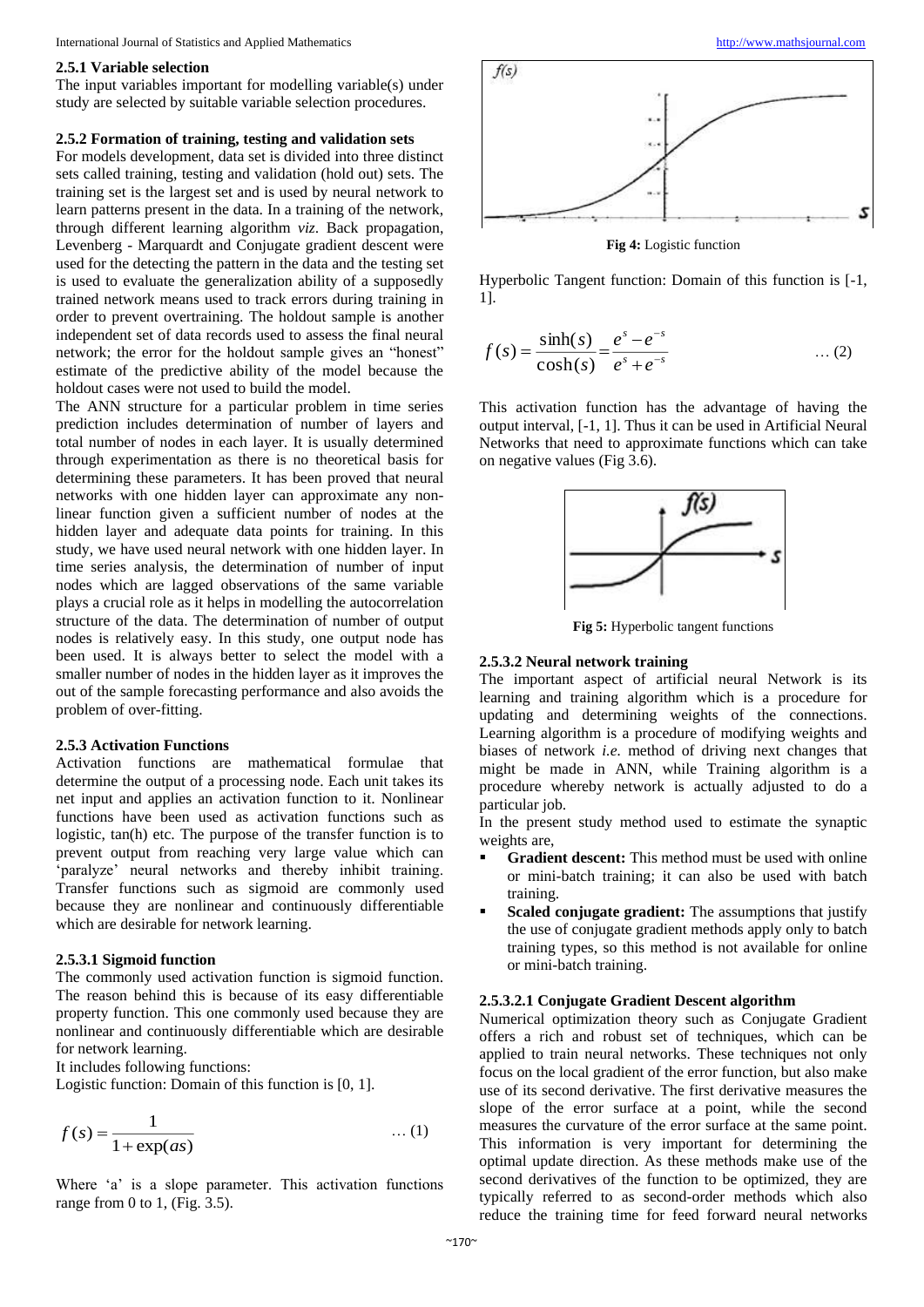#### International Journal of Statistics and Applied Mathematics [http://www.mathsjournal.com](http://www.mathsjournal.com/)

#### **2.5.1 Variable selection**

The input variables important for modelling variable(s) under study are selected by suitable variable selection procedures.

#### **2.5.2 Formation of training, testing and validation sets**

For models development, data set is divided into three distinct sets called training, testing and validation (hold out) sets. The training set is the largest set and is used by neural network to learn patterns present in the data. In a training of the network, through different learning algorithm *viz*. Back propagation, Levenberg - Marquardt and Conjugate gradient descent were used for the detecting the pattern in the data and the testing set is used to evaluate the generalization ability of a supposedly trained network means used to track errors during training in order to prevent overtraining. The holdout sample is another independent set of data records used to assess the final neural network; the error for the holdout sample gives an "honest" estimate of the predictive ability of the model because the holdout cases were not used to build the model.

The ANN structure for a particular problem in time series prediction includes determination of number of layers and total number of nodes in each layer. It is usually determined through experimentation as there is no theoretical basis for determining these parameters. It has been proved that neural networks with one hidden layer can approximate any nonlinear function given a sufficient number of nodes at the hidden layer and adequate data points for training. In this study, we have used neural network with one hidden layer. In time series analysis, the determination of number of input nodes which are lagged observations of the same variable plays a crucial role as it helps in modelling the autocorrelation structure of the data. The determination of number of output nodes is relatively easy. In this study, one output node has been used. It is always better to select the model with a smaller number of nodes in the hidden layer as it improves the out of the sample forecasting performance and also avoids the problem of over-fitting.

#### **2.5.3 Activation Functions**

Activation functions are mathematical formulae that determine the output of a processing node. Each unit takes its net input and applies an activation function to it. Nonlinear functions have been used as activation functions such as logistic, tan(h) etc. The purpose of the transfer function is to prevent output from reaching very large value which can 'paralyze' neural networks and thereby inhibit training. Transfer functions such as sigmoid are commonly used because they are nonlinear and continuously differentiable which are desirable for network learning.

#### **2.5.3.1 Sigmoid function**

The commonly used activation function is sigmoid function. The reason behind this is because of its easy differentiable property function. This one commonly used because they are nonlinear and continuously differentiable which are desirable for network learning.

It includes following functions:

Logistic function: Domain of this function is [0, 1].

$$
f(s) = \frac{1}{1 + \exp(as)} \quad \dots (1)
$$

Where 'a' is a slope parameter. This activation functions range from 0 to 1, (Fig. 3.5).



**Fig 4:** Logistic function

Hyperbolic Tangent function: Domain of this function is [-1, 1].

$$
f(s) = \frac{\sinh(s)}{\cosh(s)} = \frac{e^{s} - e^{-s}}{e^{s} + e^{-s}} \qquad ...(2)
$$

This activation function has the advantage of having the output interval, [-1, 1]. Thus it can be used in Artificial Neural Networks that need to approximate functions which can take on negative values (Fig 3.6).



**Fig 5:** Hyperbolic tangent functions

#### **2.5.3.2 Neural network training**

The important aspect of artificial neural Network is its learning and training algorithm which is a procedure for updating and determining weights of the connections. Learning algorithm is a procedure of modifying weights and biases of network *i.e.* method of driving next changes that might be made in ANN, while Training algorithm is a procedure whereby network is actually adjusted to do a particular job.

In the present study method used to estimate the synaptic weights are,

- **Gradient descent:** This method must be used with online or mini-batch training; it can also be used with batch training.
- **Scaled conjugate gradient:** The assumptions that justify the use of conjugate gradient methods apply only to batch training types, so this method is not available for online or mini-batch training.

#### **2.5.3.2.1 Conjugate Gradient Descent algorithm**

Numerical optimization theory such as Conjugate Gradient offers a rich and robust set of techniques, which can be applied to train neural networks. These techniques not only focus on the local gradient of the error function, but also make use of its second derivative. The first derivative measures the slope of the error surface at a point, while the second measures the curvature of the error surface at the same point. This information is very important for determining the optimal update direction. As these methods make use of the second derivatives of the function to be optimized, they are typically referred to as second-order methods which also reduce the training time for feed forward neural networks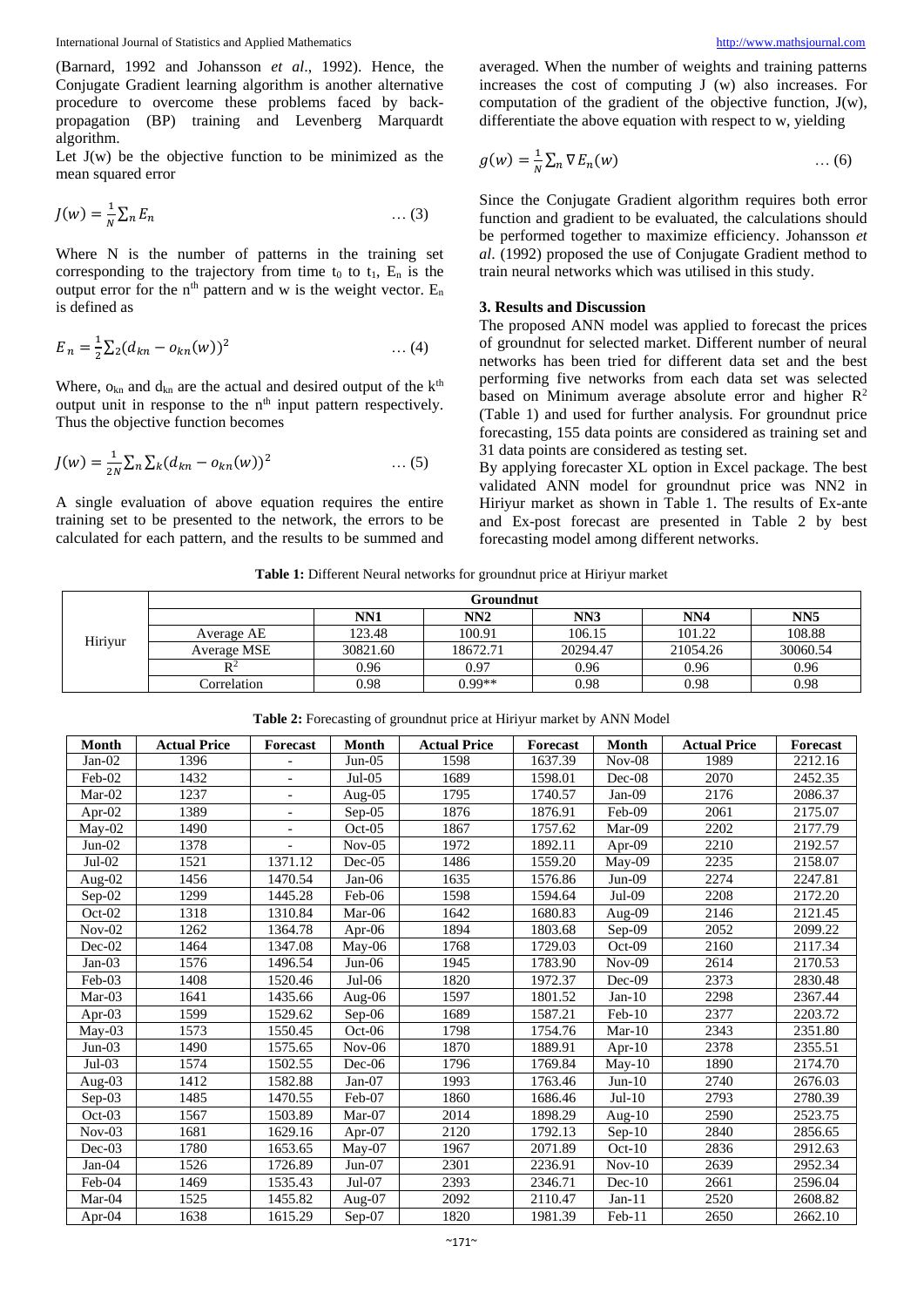(Barnard, 1992 and Johansson *et al*., 1992). Hence, the Conjugate Gradient learning algorithm is another alternative procedure to overcome these problems faced by backpropagation (BP) training and Levenberg Marquardt algorithm.

Let  $J(w)$  be the objective function to be minimized as the mean squared error

$$
J(w) = \frac{1}{N} \sum_{n} E_n \tag{3}
$$

Where N is the number of patterns in the training set corresponding to the trajectory from time  $t_0$  to  $t_1$ ,  $E_n$  is the output error for the  $n<sup>th</sup>$  pattern and w is the weight vector.  $E_n$ is defined as

$$
E_n = \frac{1}{2} \sum_2 (d_{kn} - o_{kn}(w))^2 \qquad \qquad \dots (4)
$$

Where,  $o_{kn}$  and  $d_{kn}$  are the actual and desired output of the  $k<sup>th</sup>$ output unit in response to the  $n<sup>th</sup>$  input pattern respectively. Thus the objective function becomes

$$
J(w) = \frac{1}{2N} \sum_{n} \sum_{k} (d_{kn} - o_{kn}(w))^2 \qquad \qquad \dots (5)
$$

A single evaluation of above equation requires the entire training set to be presented to the network, the errors to be calculated for each pattern, and the results to be summed and

averaged. When the number of weights and training patterns increases the cost of computing J (w) also increases. For computation of the gradient of the objective function, J(w), differentiate the above equation with respect to w, yielding

$$
g(w) = \frac{1}{N} \sum_{n} \nabla E_n(w) \tag{6}
$$

Since the Conjugate Gradient algorithm requires both error function and gradient to be evaluated, the calculations should be performed together to maximize efficiency. Johansson *et al*. (1992) proposed the use of Conjugate Gradient method to train neural networks which was utilised in this study.

#### **3. Results and Discussion**

The proposed ANN model was applied to forecast the prices of groundnut for selected market. Different number of neural networks has been tried for different data set and the best performing five networks from each data set was selected based on Minimum average absolute error and higher  $\mathbb{R}^2$ (Table 1) and used for further analysis. For groundnut price forecasting, 155 data points are considered as training set and 31 data points are considered as testing set.

By applying forecaster XL option in Excel package. The best validated ANN model for groundnut price was NN2 in Hiriyur market as shown in Table 1. The results of Ex-ante and Ex-post forecast are presented in Table 2 by best forecasting model among different networks.

**Table 1:** Different Neural networks for groundnut price at Hiriyur market

|         | Groundnut      |          |          |          |                 |                 |  |  |
|---------|----------------|----------|----------|----------|-----------------|-----------------|--|--|
| Hiriyur |                | NN1      | NN2      | NN3      | NN <sub>4</sub> | NN <sub>5</sub> |  |  |
|         | Average AE     | 123.48   | 100.91   | 106.15   | 101.22          | 108.88          |  |  |
|         | Average MSE    | 30821.60 | 18672.71 | 20294.47 | 21054.26        | 30060.54        |  |  |
|         | D <sup>2</sup> | 0.96     | 0.97     | 0.96     | 0.96            | 0.96            |  |  |
|         | Correlation    | 0.98     | $0.99**$ | 0.98     | 0.98            | 0.98            |  |  |

| <b>Month</b> | <b>Actual Price</b> | <b>Forecast</b>          | <b>Month</b> | <b>Actual Price</b> | <b>Forecast</b> | <b>Month</b> | <b>Actual Price</b> | Forecast |
|--------------|---------------------|--------------------------|--------------|---------------------|-----------------|--------------|---------------------|----------|
| $Jan-02$     | 1396                |                          | $Jun-05$     | 1598                | 1637.39         | $Nov-08$     | 1989                | 2212.16  |
| Feb-02       | 1432                |                          | $Jul-05$     | 1689                | 1598.01         | Dec-08       | 2070                | 2452.35  |
| Mar-02       | 1237                | $\blacksquare$           | Aug-05       | 1795                | 1740.57         | $Jan-09$     | 2176                | 2086.37  |
| Apr- $02$    | 1389                |                          | $Sep-05$     | 1876                | 1876.91         | Feb-09       | 2061                | 2175.07  |
| May-02       | 1490                | $\overline{\phantom{a}}$ | $Oct-05$     | 1867                | 1757.62         | Mar-09       | 2202                | 2177.79  |
| $Jun-02$     | 1378                |                          | $Nov-05$     | 1972                | 1892.11         | Apr- $09$    | 2210                | 2192.57  |
| Jul-02       | 1521                | 1371.12                  | Dec-05       | 1486                | 1559.20         | May-09       | 2235                | 2158.07  |
| Aug- $02$    | 1456                | 1470.54                  | $Jan-06$     | 1635                | 1576.86         | $Jun-09$     | 2274                | 2247.81  |
| $Sep-02$     | 1299                | 1445.28                  | Feb-06       | 1598                | 1594.64         | Jul-09       | 2208                | 2172.20  |
| Oct-02       | 1318                | 1310.84                  | $Mar-06$     | 1642                | 1680.83         | Aug-09       | 2146                | 2121.45  |
| $Nov-02$     | 1262                | 1364.78                  | Apr- $06$    | 1894                | 1803.68         | $Sep-09$     | 2052                | 2099.22  |
| $Dec-02$     | 1464                | 1347.08                  | May-06       | 1768                | 1729.03         | $Oct-09$     | 2160                | 2117.34  |
| $Jan-03$     | 1576                | 1496.54                  | $Jun-06$     | 1945                | 1783.90         | $Nov-09$     | 2614                | 2170.53  |
| Feb-03       | 1408                | 1520.46                  | $Jul-06$     | 1820                | 1972.37         | $Dec-09$     | 2373                | 2830.48  |
| Mar-03       | 1641                | 1435.66                  | Aug-06       | 1597                | 1801.52         | $Jan-10$     | 2298                | 2367.44  |
| Apr-03       | 1599                | 1529.62                  | $Sep-06$     | 1689                | 1587.21         | $Feb-10$     | 2377                | 2203.72  |
| May-03       | 1573                | 1550.45                  | $Oct-06$     | 1798                | 1754.76         | $Mar-10$     | 2343                | 2351.80  |
| $Jun-03$     | 1490                | 1575.65                  | $Nov-06$     | 1870                | 1889.91         | Apr- $10$    | 2378                | 2355.51  |
| $Jul-03$     | 1574                | 1502.55                  | $Dec-06$     | 1796                | 1769.84         | $May-10$     | 1890                | 2174.70  |
| Aug-03       | 1412                | 1582.88                  | $Jan-07$     | 1993                | 1763.46         | $Jun-10$     | 2740                | 2676.03  |
| $Sep-03$     | 1485                | 1470.55                  | Feb-07       | 1860                | 1686.46         | $Jul-10$     | 2793                | 2780.39  |
| Oct-03       | 1567                | 1503.89                  | Mar-07       | 2014                | 1898.29         | Aug-10       | 2590                | 2523.75  |
| $Nov-03$     | 1681                | 1629.16                  | Apr- $07$    | 2120                | 1792.13         | $Sep-10$     | 2840                | 2856.65  |
| $Dec-03$     | 1780                | 1653.65                  | $Mav-07$     | 1967                | 2071.89         | $Oct-10$     | 2836                | 2912.63  |
| $Jan-04$     | 1526                | 1726.89                  | $Jun-07$     | 2301                | 2236.91         | $Nov-10$     | 2639                | 2952.34  |
| Feb-04       | 1469                | 1535.43                  | Jul-07       | 2393                | 2346.71         | $Dec-10$     | 2661                | 2596.04  |
| Mar-04       | 1525                | 1455.82                  | Aug-07       | 2092                | 2110.47         | $Jan-11$     | 2520                | 2608.82  |
| Apr- $04$    | 1638                | 1615.29                  | $Sep-07$     | 1820                | 1981.39         | Feb-11       | 2650                | 2662.10  |

**Table 2:** Forecasting of groundnut price at Hiriyur market by ANN Model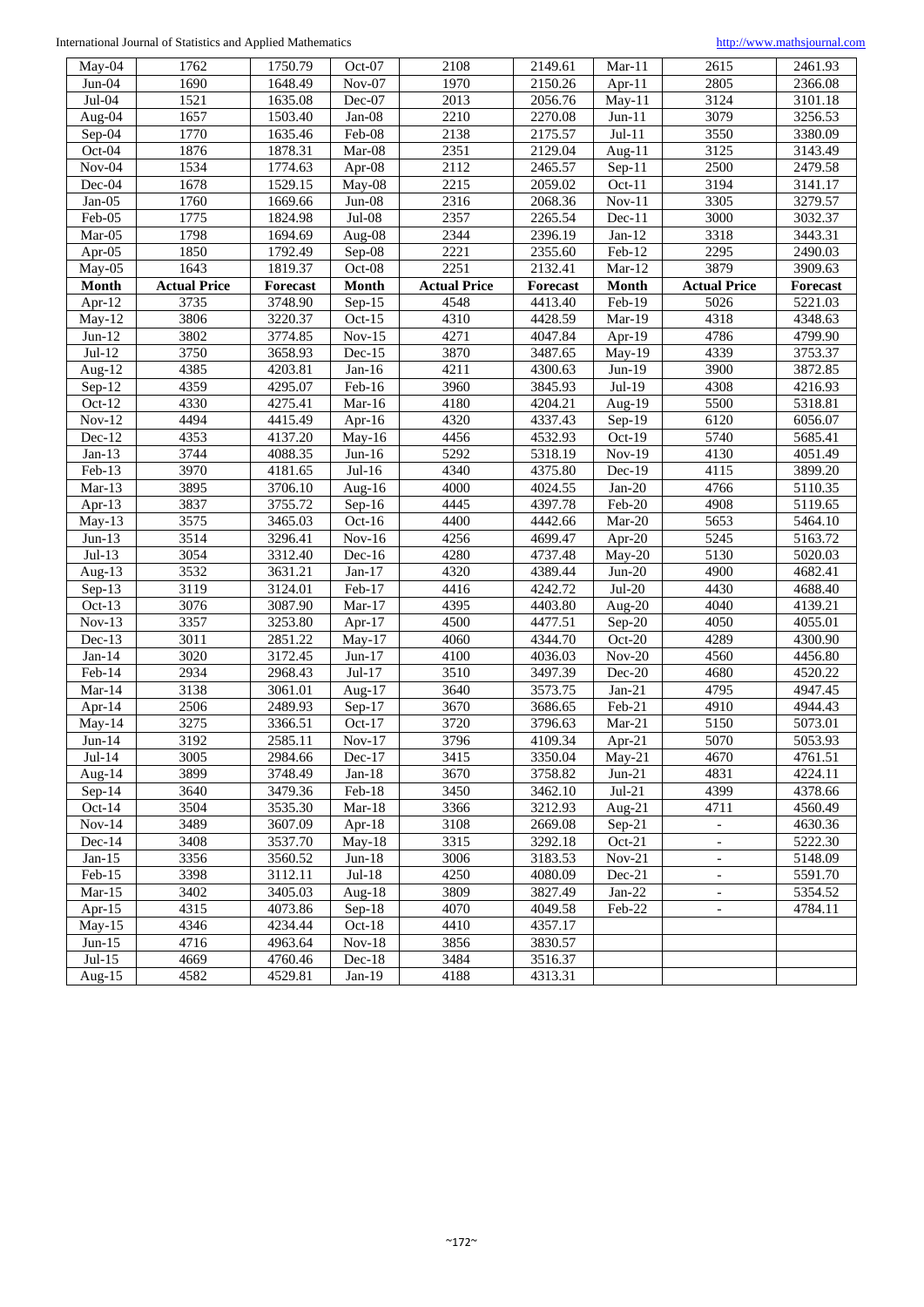| $Mav-04$             | 1762                | 1750.79  | Oct-07                     | 2108                | 2149.61  | $Mar-11$                   | 2615                     | 2461.93              |
|----------------------|---------------------|----------|----------------------------|---------------------|----------|----------------------------|--------------------------|----------------------|
| $Jun-04$             | 1690                | 1648.49  | $Nov-07$                   | 1970                | 2150.26  | $Apr-11$                   | 2805                     | 2366.08              |
| Jul-04               | 1521                | 1635.08  | Dec-07                     | 2013                | 2056.76  | $May-11$                   | 3124                     | 3101.18              |
| Aug-04               | 1657                | 1503.40  | $Jan-08$                   | 2210                | 2270.08  | $Jun-11$                   | 3079                     | 3256.53              |
| Sep-04               | 1770                | 1635.46  | Feb-08                     | 2138                | 2175.57  | $\overline{Jul}$ -11       | 3550                     | 3380.09              |
| Oct-04               | 1876                | 1878.31  | Mar-08                     | 2351                | 2129.04  | Aug- $11$                  | 3125                     | 3143.49              |
| $Nov-04$             | 1534                | 1774.63  | Apr-08                     | 2112                | 2465.57  | $Sep-11$                   | 2500                     | 2479.58              |
| Dec-04               | 1678                | 1529.15  | May- $08$                  | 2215                | 2059.02  | Oct-11                     | 3194                     | 3141.17              |
| $Jan-05$             | 1760                | 1669.66  | $Jun-08$                   | 2316                | 2068.36  | $\overline{\text{Nov-}}11$ | 3305                     | 3279.57              |
| Feb-05               | 1775                | 1824.98  | $Jul-08$                   | 2357                | 2265.54  | Dec-11                     | 3000                     | 3032.37              |
| Mar-05               | 1798                | 1694.69  | Aug-08                     | 2344                | 2396.19  | $Jan-12$                   | 3318                     | 3443.31              |
| Apr-05               | 1850                | 1792.49  | Sep-08                     | 2221                | 2355.60  | Feb-12                     | 2295                     | 2490.03              |
| May-05               | 1643                | 1819.37  | Oct-08                     | 2251                | 2132.41  | $Mar-12$                   | 3879                     | 3909.63              |
| Month                | <b>Actual Price</b> | Forecast | Month                      | <b>Actual Price</b> | Forecast | <b>Month</b>               | <b>Actual Price</b>      | Forecast             |
| Apr- $12$            | 3735                | 3748.90  | $Sep-15$                   | 4548                | 4413.40  | Feb-19                     | 5026                     | 5221.03              |
| $May-12$             | 3806                | 3220.37  | Oct- $15$                  | 4310                | 4428.59  | Mar-19                     | 4318                     | 4348.63              |
| $Jun-12$             | 3802                | 3774.85  | $Nov-15$                   | 4271                | 4047.84  | Apr-19                     | 4786                     | 4799.90              |
| $Jul-12$             | 3750                | 3658.93  | $Dec-15$                   | 3870                | 3487.65  | May-19                     | 4339                     | 3753.37              |
| Aug- $12$            | 4385                | 4203.81  | $Jan-16$                   | 4211                | 4300.63  | $Jun-19$                   | 3900                     | 3872.85              |
| $Sep-12$             | 4359                | 4295.07  | Feb-16                     | 3960                | 3845.93  | $Jul-19$                   | 4308                     | 4216.93              |
| $Oct-12$             | 4330                | 4275.41  | $Mar-16$                   | 4180                | 4204.21  | Aug-19                     | 5500                     | 5318.81              |
| $Nov-12$             | 4494                | 4415.49  | Apr-16                     | 4320                | 4337.43  | Sep-19                     | 6120                     | 6056.07              |
| $\overline{Dec}$ -12 | 4353                | 4137.20  | $May-16$                   | 4456                | 4532.93  | Oct-19                     | 5740                     | 5685.41              |
| $Jan-13$             | 3744                | 4088.35  | $Jun-16$                   | 5292                | 5318.19  | Nov-19                     | 4130                     | 4051.49              |
| Feb-13               | 3970                | 4181.65  | $Jul-16$                   | 4340                | 4375.80  | $Dec-19$                   | 4115                     | 3899.20              |
| $Mar-13$             | 3895                | 3706.10  | Aug- $16$                  | 4000                | 4024.55  | $Jan-20$                   | 4766                     | $\overline{5110.35}$ |
| Apr-13               | 3837                | 3755.72  | $\overline{\text{Sep-}}16$ | 4445                | 4397.78  | Feb-20                     | 4908                     | 5119.65              |
| $May-13$             | 3575                | 3465.03  | $Oct-16$                   | 4400                | 4442.66  | $Mar-20$                   | 5653                     | 5464.10              |
| $Jun-13$             | 3514                | 3296.41  | $\overline{\text{Nov-}}16$ | 4256                | 4699.47  | Apr-20                     | 5245                     | 5163.72              |
| $Jul-13$             | 3054                | 3312.40  | $Dec-16$                   | 4280                | 4737.48  | May-20                     | 5130                     | 5020.03              |
| Aug- $13$            | 3532                | 3631.21  | $\overline{Jan}$ -17       | 4320                | 4389.44  | $Jun-20$                   | 4900                     | 4682.41              |
| $Sep-13$             | 3119                | 3124.01  | Feb-17                     | 4416                | 4242.72  | $Jul-20$                   | 4430                     | 4688.40              |
| Oct- $13$            | 3076                | 3087.90  | $Mar-17$                   | 4395                | 4403.80  | Aug-20                     | 4040                     | 4139.21              |
| $Nov-13$             | 3357                | 3253.80  | Apr-17                     | 4500                | 4477.51  | Sep-20                     | 4050                     | 4055.01              |
| $Dec-13$             | 3011                | 2851.22  | $May-17$                   | 4060                | 4344.70  | $Oct-20$                   | 4289                     | 4300.90              |
| $Jan-14$             | 3020                | 3172.45  | $Jun-17$                   | 4100                | 4036.03  | $Nov-20$                   | 4560                     | 4456.80              |
| Feb-14               | 2934                | 2968.43  | $Jul-17$                   | 3510                | 3497.39  | Dec-20                     | 4680                     | 4520.22              |
| $Mar-14$             | 3138                | 3061.01  | Aug- $17$                  | 3640                | 3573.75  | $Jan-21$                   | 4795                     | 4947.45              |
| Apr-14               | 2506                | 2489.93  | $Sep-17$                   | 3670                | 3686.65  | Feb-21                     | 4910                     | 4944.43              |
| $May-14$             | 3275                | 3366.51  | $\overline{O}$ ct-17       | 3720                | 3796.63  | $Mar-21$                   | 5150                     | 5073.01              |
| $Jun-14$             | 3192                | 2585.11  | Nov-17                     | 3796                | 4109.34  | Apr-21                     | 5070                     | 5053.93              |
| $Jul-14$             | 3005                | 2984.66  | $Dec-17$                   | 3415                | 3350.04  | May-21                     | 4670                     | 4761.51              |
| Aug- $14$            | 3899                | 3748.49  | $Jan-18$                   | 3670                | 3758.82  | $Jun-21$                   | 4831                     | 4224.11              |
| $Sep-14$             | 3640                | 3479.36  | Feb-18                     | 3450                | 3462.10  | $Jul-21$                   | 4399                     | 4378.66              |
| $Oct-14$             | 3504                | 3535.30  | $Mar-18$                   | 3366                | 3212.93  | Aug- $21$                  | 4711                     | 4560.49              |
| $Nov-14$             | 3489                | 3607.09  | Apr- $18$                  | 3108                | 2669.08  | $Sep-21$                   | $\overline{\phantom{a}}$ | 4630.36              |
| $Dec-14$             | 3408                | 3537.70  | $May-18$                   | 3315                | 3292.18  | $Oct-21$                   | $\overline{\phantom{a}}$ | 5222.30              |
| $Jan-15$             | 3356                | 3560.52  | $Jun-18$                   | 3006                | 3183.53  | $Nov-21$                   | $\overline{\phantom{a}}$ | 5148.09              |
| $Feb-15$             | 3398                | 3112.11  | $Jul-18$                   | 4250                | 4080.09  | $Dec-21$                   |                          | 5591.70              |
| $Mar-15$             | 3402                | 3405.03  | Aug-18                     | 3809                | 3827.49  | $Jan-22$                   | $\overline{\phantom{a}}$ | 5354.52              |
| Apr- $15$            | 4315                | 4073.86  | $Sep-18$                   | 4070                | 4049.58  | Feb-22                     | $\overline{\phantom{a}}$ | 4784.11              |
| $May-15$             | 4346                | 4234.44  | $Oct-18$                   | 4410                | 4357.17  |                            |                          |                      |
| $Jun-15$             | 4716                | 4963.64  | $Nov-18$                   | 3856                | 3830.57  |                            |                          |                      |
| $Jul-15$             | 4669                | 4760.46  | Dec-18                     | 3484                | 3516.37  |                            |                          |                      |
| Aug- $15$            | 4582                | 4529.81  | $Jan-19$                   | 4188                | 4313.31  |                            |                          |                      |